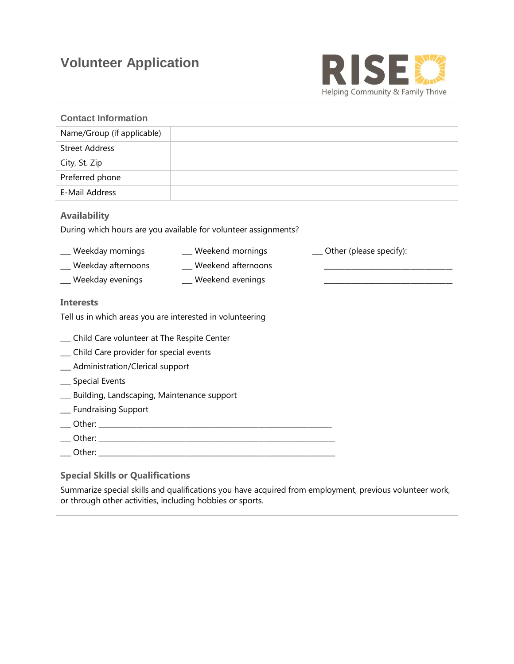# **Volunteer Application**



| <b>Contact Information</b>                                                             |
|----------------------------------------------------------------------------------------|
| Name/Group (if applicable)                                                             |
| <b>Street Address</b>                                                                  |
| City, St. Zip                                                                          |
| Preferred phone                                                                        |
| E-Mail Address                                                                         |
| <b>Availability</b><br>During which hours are you available for volunteer assignments? |
| __ Weekday mornings<br>_ Weekend mornings<br>__ Other (please specify):                |
| _ Weekday afternoons<br>_ Weekend afternoons                                           |
| _ Weekday evenings<br>_ Weekend evenings                                               |
| <b>Interests</b>                                                                       |
|                                                                                        |
| Tell us in which areas you are interested in volunteering                              |
| _ Child Care volunteer at The Respite Center                                           |
| _ Child Care provider for special events                                               |
| _ Administration/Clerical support                                                      |
| _ Special Events                                                                       |
| __ Building, Landscaping, Maintenance support                                          |
| _ Fundraising Support                                                                  |
|                                                                                        |
|                                                                                        |

### **Special Skills or Qualifications**

Summarize special skills and qualifications you have acquired from employment, previous volunteer work, or through other activities, including hobbies or sports.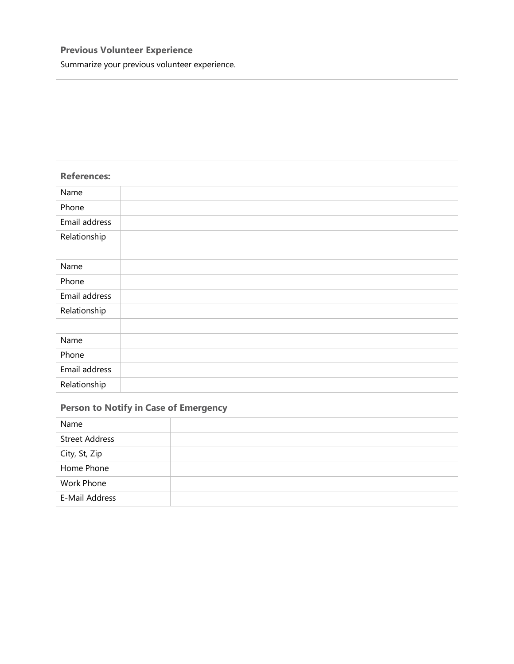## **Previous Volunteer Experience**

Summarize your previous volunteer experience.

### **References:**

| Name          |  |
|---------------|--|
| Phone         |  |
| Email address |  |
| Relationship  |  |
|               |  |
| Name          |  |
| Phone         |  |
| Email address |  |
| Relationship  |  |
|               |  |
| Name          |  |
| Phone         |  |
| Email address |  |
| Relationship  |  |

## **Person to Notify in Case of Emergency**

| Name                  |  |
|-----------------------|--|
| <b>Street Address</b> |  |
| City, St, Zip         |  |
| Home Phone            |  |
| Work Phone            |  |
| E-Mail Address        |  |